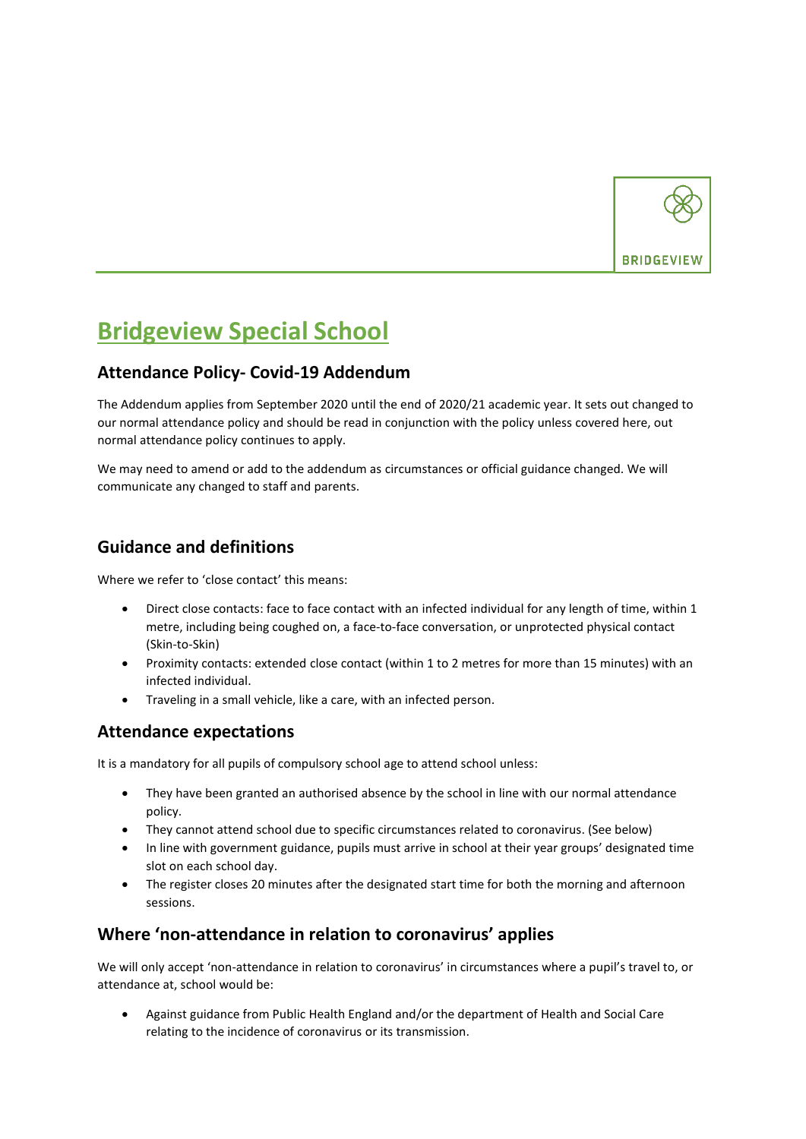

# **Bridgeview Special School**

#### **Attendance Policy- Covid-19 Addendum**

The Addendum applies from September 2020 until the end of 2020/21 academic year. It sets out changed to our normal attendance policy and should be read in conjunction with the policy unless covered here, out normal attendance policy continues to apply.

We may need to amend or add to the addendum as circumstances or official guidance changed. We will communicate any changed to staff and parents.

# **Guidance and definitions**

Where we refer to 'close contact' this means:

- Direct close contacts: face to face contact with an infected individual for any length of time, within 1 metre, including being coughed on, a face-to-face conversation, or unprotected physical contact (Skin-to-Skin)
- Proximity contacts: extended close contact (within 1 to 2 metres for more than 15 minutes) with an infected individual.
- Traveling in a small vehicle, like a care, with an infected person.

#### **Attendance expectations**

It is a mandatory for all pupils of compulsory school age to attend school unless:

- They have been granted an authorised absence by the school in line with our normal attendance policy.
- They cannot attend school due to specific circumstances related to coronavirus. (See below)
- In line with government guidance, pupils must arrive in school at their year groups' designated time slot on each school day.
- The register closes 20 minutes after the designated start time for both the morning and afternoon sessions.

# **Where 'non-attendance in relation to coronavirus' applies**

We will only accept 'non-attendance in relation to coronavirus' in circumstances where a pupil's travel to, or attendance at, school would be:

• Against guidance from Public Health England and/or the department of Health and Social Care relating to the incidence of coronavirus or its transmission.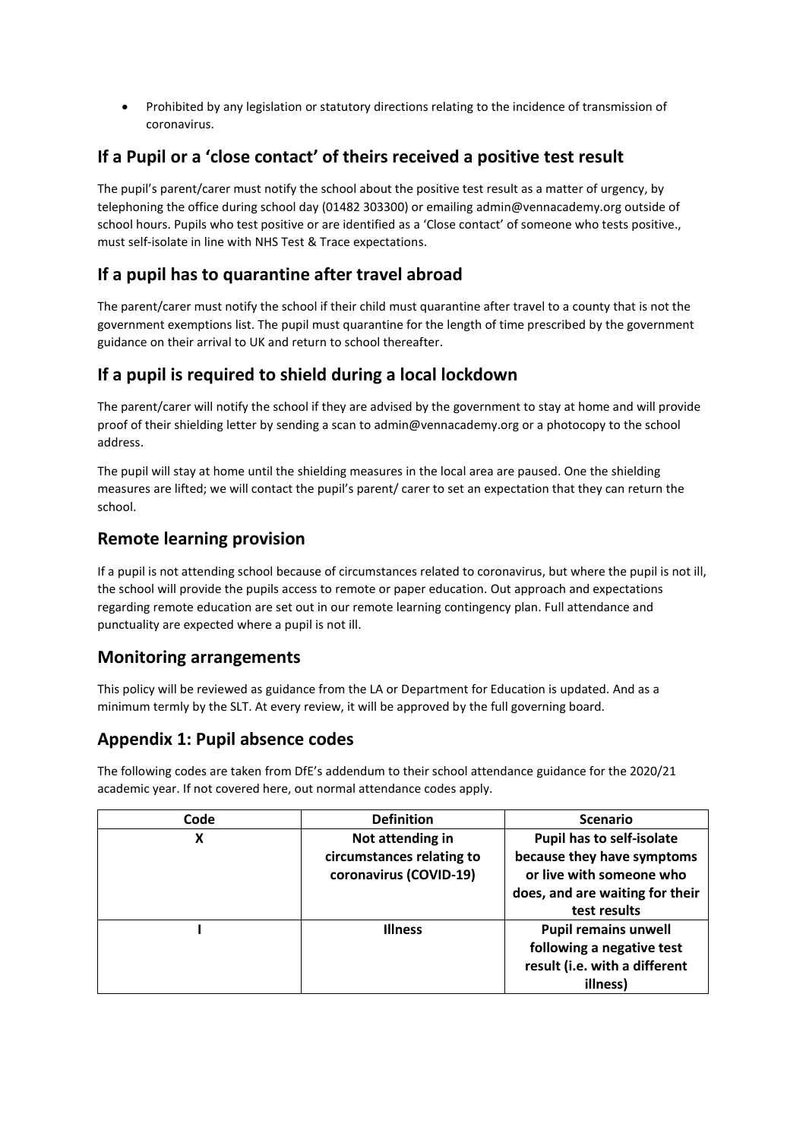• Prohibited by any legislation or statutory directions relating to the incidence of transmission of coronavirus.

# **If a Pupil or a 'close contact' of theirs received a positive test result**

The pupil's parent/carer must notify the school about the positive test result as a matter of urgency, by telephoning the office during school day (01482 303300) or emailing admin@vennacademy.org outside of school hours. Pupils who test positive or are identified as a 'Close contact' of someone who tests positive., must self-isolate in line with NHS Test & Trace expectations.

# **If a pupil has to quarantine after travel abroad**

The parent/carer must notify the school if their child must quarantine after travel to a county that is not the government exemptions list. The pupil must quarantine for the length of time prescribed by the government guidance on their arrival to UK and return to school thereafter.

# **If a pupil is required to shield during a local lockdown**

The parent/carer will notify the school if they are advised by the government to stay at home and will provide proof of their shielding letter by sending a scan to admin@vennacademy.org or a photocopy to the school address.

The pupil will stay at home until the shielding measures in the local area are paused. One the shielding measures are lifted; we will contact the pupil's parent/ carer to set an expectation that they can return the school.

# **Remote learning provision**

If a pupil is not attending school because of circumstances related to coronavirus, but where the pupil is not ill, the school will provide the pupils access to remote or paper education. Out approach and expectations regarding remote education are set out in our remote learning contingency plan. Full attendance and punctuality are expected where a pupil is not ill.

# **Monitoring arrangements**

This policy will be reviewed as guidance from the LA or Department for Education is updated. And as a minimum termly by the SLT. At every review, it will be approved by the full governing board.

# **Appendix 1: Pupil absence codes**

The following codes are taken from DfE's addendum to their school attendance guidance for the 2020/21 academic year. If not covered here, out normal attendance codes apply.

| Code | <b>Definition</b>         | <b>Scenario</b>                  |
|------|---------------------------|----------------------------------|
| X    | Not attending in          | <b>Pupil has to self-isolate</b> |
|      | circumstances relating to | because they have symptoms       |
|      | coronavirus (COVID-19)    | or live with someone who         |
|      |                           | does, and are waiting for their  |
|      |                           | test results                     |
|      | <b>Illness</b>            | <b>Pupil remains unwell</b>      |
|      |                           | following a negative test        |
|      |                           | result (i.e. with a different    |
|      |                           | illness)                         |